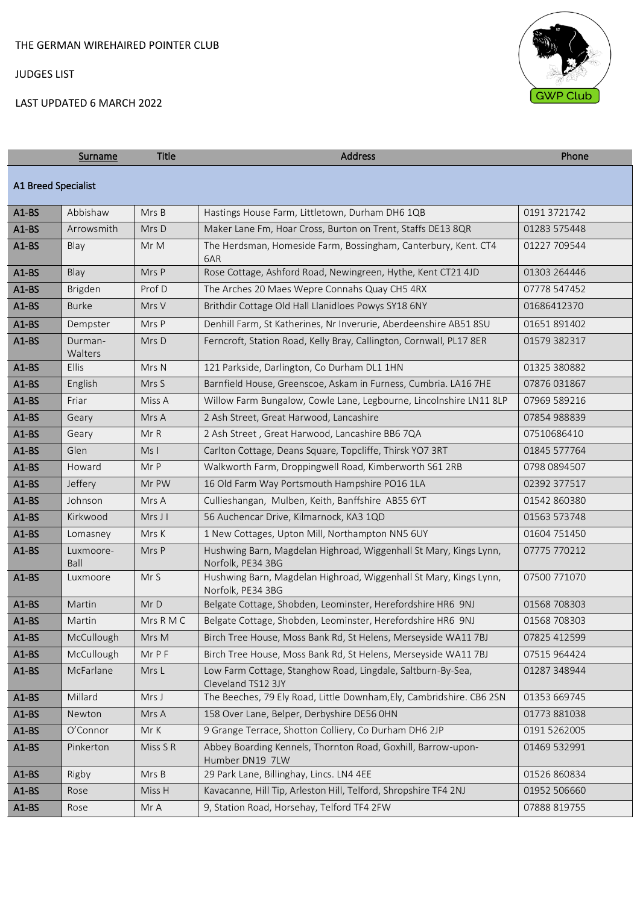# LAST UPDATED 6 MARCH 2022



|                            | Surname            | <b>Title</b> | Address                                                                                | Phone        |
|----------------------------|--------------------|--------------|----------------------------------------------------------------------------------------|--------------|
| <b>A1 Breed Specialist</b> |                    |              |                                                                                        |              |
| $A1-BS$                    | Abbishaw           | Mrs B        | Hastings House Farm, Littletown, Durham DH6 1QB                                        | 0191 3721742 |
| $A1-BS$                    | Arrowsmith         | Mrs D        | Maker Lane Fm, Hoar Cross, Burton on Trent, Staffs DE13 8QR                            | 01283 575448 |
| $A1-BS$                    | Blay               | Mr M         | The Herdsman, Homeside Farm, Bossingham, Canterbury, Kent. CT4<br>6AR                  | 01227 709544 |
| $A1-BS$                    | Blay               | Mrs P        | Rose Cottage, Ashford Road, Newingreen, Hythe, Kent CT21 4JD                           | 01303 264446 |
| $A1-BS$                    | Brigden            | Prof D       | The Arches 20 Maes Wepre Connahs Quay CH5 4RX                                          | 07778 547452 |
| $A1-BS$                    | <b>Burke</b>       | Mrs V        | Brithdir Cottage Old Hall Llanidloes Powys SY18 6NY                                    | 01686412370  |
| $A1-BS$                    | Dempster           | Mrs P        | Denhill Farm, St Katherines, Nr Inverurie, Aberdeenshire AB51 8SU                      | 01651 891402 |
| $A1-BS$                    | Durman-<br>Walters | Mrs D        | Ferncroft, Station Road, Kelly Bray, Callington, Cornwall, PL17 8ER                    | 01579 382317 |
| $A1-BS$                    | Ellis              | Mrs N        | 121 Parkside, Darlington, Co Durham DL1 1HN                                            | 01325 380882 |
| $A1-BS$                    | English            | Mrs S        | Barnfield House, Greenscoe, Askam in Furness, Cumbria. LA16 7HE                        | 07876 031867 |
| $A1-BS$                    | Friar              | Miss A       | Willow Farm Bungalow, Cowle Lane, Legbourne, Lincolnshire LN11 8LP                     | 07969 589216 |
| $A1-BS$                    | Geary              | Mrs A        | 2 Ash Street, Great Harwood, Lancashire                                                | 07854 988839 |
| $A1-BS$                    | Geary              | Mr R         | 2 Ash Street, Great Harwood, Lancashire BB6 7QA                                        | 07510686410  |
| $A1-BS$                    | Glen               | MsI          | Carlton Cottage, Deans Square, Topcliffe, Thirsk YO7 3RT                               | 01845 577764 |
| $A1-BS$                    | Howard             | Mr P         | Walkworth Farm, Droppingwell Road, Kimberworth S61 2RB                                 | 0798 0894507 |
| $A1-BS$                    | Jeffery            | Mr PW        | 16 Old Farm Way Portsmouth Hampshire PO16 1LA                                          | 02392 377517 |
| $A1-BS$                    | Johnson            | Mrs A        | Cullieshangan, Mulben, Keith, Banffshire AB55 6YT                                      | 01542 860380 |
| $A1-BS$                    | Kirkwood           | Mrs J I      | 56 Auchencar Drive, Kilmarnock, KA3 1QD                                                | 01563 573748 |
| $A1-BS$                    | Lomasney           | Mrs K        | 1 New Cottages, Upton Mill, Northampton NN5 6UY                                        | 01604 751450 |
| $A1-BS$                    | Luxmoore-<br>Ball  | Mrs P        | Hushwing Barn, Magdelan Highroad, Wiggenhall St Mary, Kings Lynn,<br>Norfolk, PE34 3BG | 07775 770212 |
| $A1-BS$                    | Luxmoore           | Mr S         | Hushwing Barn, Magdelan Highroad, Wiggenhall St Mary, Kings Lynn,<br>Norfolk, PE34 3BG | 07500 771070 |
| $A1-BS$                    | Martin             | Mr D         | Belgate Cottage, Shobden, Leominster, Herefordshire HR6 9NJ                            | 01568 708303 |
| $A1-BS$                    | Martin             | Mrs R M C    | Belgate Cottage, Shobden, Leominster, Herefordshire HR6 9NJ                            | 01568 708303 |
| $A1-BS$                    | McCullough         | Mrs M        | Birch Tree House, Moss Bank Rd, St Helens, Merseyside WA11 7BJ                         | 07825 412599 |
| $A1-BS$                    | McCullough         | Mr P F       | Birch Tree House, Moss Bank Rd, St Helens, Merseyside WA11 7BJ                         | 07515 964424 |
| $A1-BS$                    | McFarlane          | Mrs L        | Low Farm Cottage, Stanghow Road, Lingdale, Saltburn-By-Sea,<br>Cleveland TS12 3JY      | 01287 348944 |
| $A1-BS$                    | Millard            | Mrs J        | The Beeches, 79 Ely Road, Little Downham, Ely, Cambridshire. CB6 2SN                   | 01353 669745 |
| $A1-BS$                    | Newton             | Mrs A        | 158 Over Lane, Belper, Derbyshire DE56 0HN                                             | 01773 881038 |
| $A1-BS$                    | O'Connor           | Mr K         | 9 Grange Terrace, Shotton Colliery, Co Durham DH6 2JP                                  | 0191 5262005 |
| $A1-BS$                    | Pinkerton          | Miss S R     | Abbey Boarding Kennels, Thornton Road, Goxhill, Barrow-upon-<br>Humber DN19 7LW        | 01469 532991 |
| $A1-BS$                    | Rigby              | Mrs B        | 29 Park Lane, Billinghay, Lincs. LN4 4EE                                               | 01526 860834 |
| $A1-BS$                    | Rose               | Miss H       | Kavacanne, Hill Tip, Arleston Hill, Telford, Shropshire TF4 2NJ                        | 01952 506660 |
| $A1-BS$                    | Rose               | Mr A         | 9, Station Road, Horsehay, Telford TF4 2FW                                             | 07888 819755 |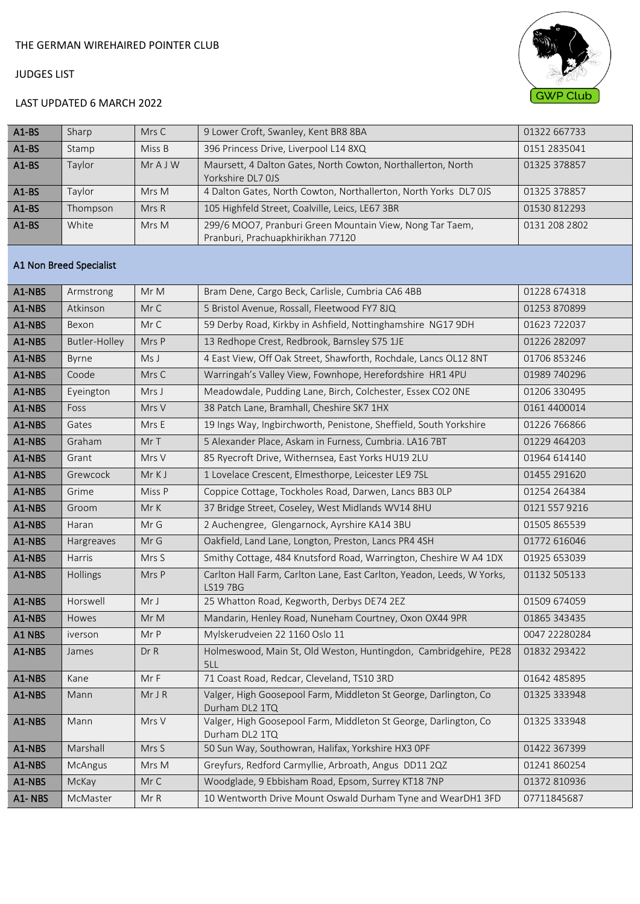

# LAST UPDATED 6 MARCH 2022

| $A1-BS$ | Sharp    | Mrs C  | 9 Lower Croft, Swanley, Kent BR8 8BA                             | 01322 667733  |
|---------|----------|--------|------------------------------------------------------------------|---------------|
| $A1-BS$ | Stamp    | Miss B | 396 Princess Drive, Liverpool L14 8XQ                            | 0151 2835041  |
| $A1-BS$ | Taylor   | MrAJW  | Maursett, 4 Dalton Gates, North Cowton, Northallerton, North     | 01325 378857  |
|         |          |        | Yorkshire DL7 0JS                                                |               |
| $A1-BS$ | Taylor   | Mrs M  | 4 Dalton Gates, North Cowton, Northallerton, North Yorks DL7 0JS | 01325 378857  |
| $A1-BS$ | Thompson | MrsR   | 105 Highfeld Street, Coalville, Leics, LE67 3BR                  | 01530 812293  |
| $A1-BS$ | White    | Mrs M  | 299/6 MOO7, Pranburi Green Mountain View, Nong Tar Taem,         | 0131 208 2802 |
|         |          |        | Pranburi, Prachuapkhirikhan 77120                                |               |

#### A1 Non Breed Specialist

| A1-NBS | Armstrong     | MrM    | Bram Dene, Cargo Beck, Carlisle, Cumbria CA6 4BB                                   | 01228 674318  |
|--------|---------------|--------|------------------------------------------------------------------------------------|---------------|
| A1-NBS | Atkinson      | Mr C   | 5 Bristol Avenue, Rossall, Fleetwood FY7 8JQ                                       | 01253 870899  |
| A1-NBS | Bexon         | Mr C   | 59 Derby Road, Kirkby in Ashfield, Nottinghamshire NG17 9DH                        | 01623 722037  |
| A1-NBS | Butler-Holley | Mrs P  | 13 Redhope Crest, Redbrook, Barnsley S75 1JE                                       | 01226 282097  |
| A1-NBS | Byrne         | Ms J   | 4 East View, Off Oak Street, Shawforth, Rochdale, Lancs OL12 8NT                   | 01706 853246  |
| A1-NBS | Coode         | Mrs C  | Warringah's Valley View, Fownhope, Herefordshire HR1 4PU                           | 01989 740296  |
| A1-NBS | Eyeington     | Mrs J  | Meadowdale, Pudding Lane, Birch, Colchester, Essex CO2 ONE                         | 01206 330495  |
| A1-NBS | Foss          | Mrs V  | 38 Patch Lane, Bramhall, Cheshire SK7 1HX                                          | 0161 4400014  |
| A1-NBS | Gates         | Mrs E  | 19 Ings Way, Ingbirchworth, Penistone, Sheffield, South Yorkshire                  | 01226 766866  |
| A1-NBS | Graham        | Mr T   | 5 Alexander Place, Askam in Furness, Cumbria. LA16 7BT                             | 01229 464203  |
| A1-NBS | Grant         | Mrs V  | 85 Ryecroft Drive, Withernsea, East Yorks HU19 2LU                                 | 01964 614140  |
| A1-NBS | Grewcock      | MrKJ   | 1 Lovelace Crescent, Elmesthorpe, Leicester LE9 7SL                                | 01455 291620  |
| A1-NBS | Grime         | Miss P | Coppice Cottage, Tockholes Road, Darwen, Lancs BB3 OLP                             | 01254 264384  |
| A1-NBS | Groom         | Mr K   | 37 Bridge Street, Coseley, West Midlands WV14 8HU                                  | 0121 557 9216 |
| A1-NBS | Haran         | Mr G   | 2 Auchengree, Glengarnock, Ayrshire KA14 3BU                                       | 01505 865539  |
| A1-NBS | Hargreaves    | Mr G   | Oakfield, Land Lane, Longton, Preston, Lancs PR4 4SH                               | 01772 616046  |
| A1-NBS | Harris        | Mrs S  | Smithy Cottage, 484 Knutsford Road, Warrington, Cheshire W A4 1DX                  | 01925 653039  |
| A1-NBS | Hollings      | Mrs P  | Carlton Hall Farm, Carlton Lane, East Carlton, Yeadon, Leeds, W Yorks,<br>LS19 7BG | 01132 505133  |
| A1-NBS | Horswell      | Mr J   | 25 Whatton Road, Kegworth, Derbys DE74 2EZ                                         | 01509 674059  |
| A1-NBS | Howes         | MrM    | Mandarin, Henley Road, Nuneham Courtney, Oxon OX44 9PR                             | 01865 343435  |
| A1 NBS | iverson       | Mr P   | Mylskerudveien 22 1160 Oslo 11                                                     | 0047 22280284 |
| A1-NBS | James         | Dr R   | Holmeswood, Main St, Old Weston, Huntingdon, Cambridgehire, PE28<br>5LL            | 01832 293422  |
| A1-NBS | Kane          | Mr F   | 71 Coast Road, Redcar, Cleveland, TS10 3RD                                         | 01642 485895  |
| A1-NBS | Mann          | MrJR   | Valger, High Goosepool Farm, Middleton St George, Darlington, Co<br>Durham DL2 1TQ | 01325 333948  |
| A1-NBS | Mann          | Mrs V  | Valger, High Goosepool Farm, Middleton St George, Darlington, Co<br>Durham DL2 1TQ | 01325 333948  |
| A1-NBS | Marshall      | Mrs S  | 50 Sun Way, Southowran, Halifax, Yorkshire HX3 OPF                                 | 01422 367399  |
| A1-NBS | McAngus       | Mrs M  | Greyfurs, Redford Carmyllie, Arbroath, Angus DD11 2QZ                              | 01241 860254  |
| A1-NBS | McKay         | Mr C   | Woodglade, 9 Ebbisham Road, Epsom, Surrey KT18 7NP                                 | 01372 810936  |
| A1-NBS | McMaster      | MrR    | 10 Wentworth Drive Mount Oswald Durham Tyne and WearDH1 3FD                        | 07711845687   |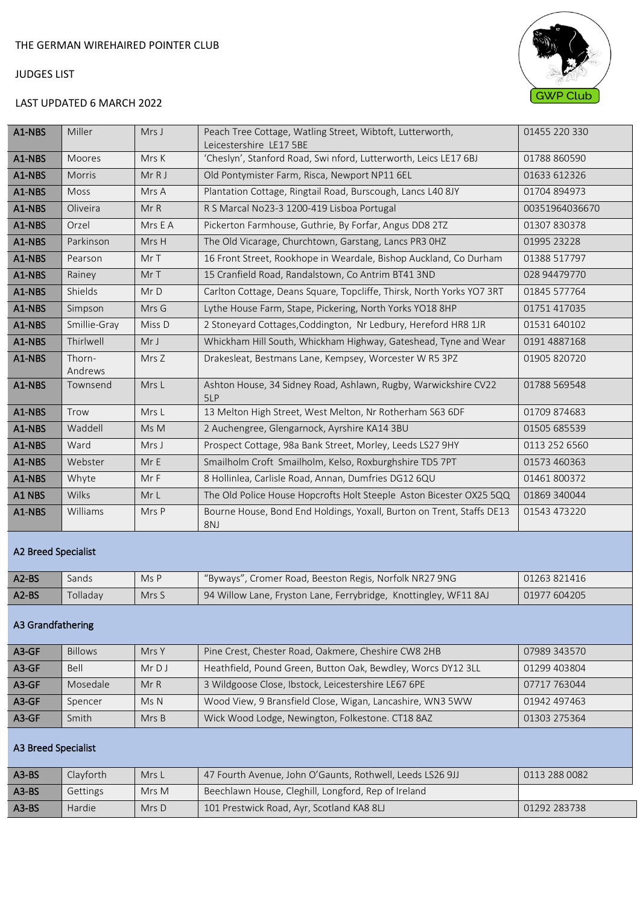

# LAST UPDATED 6 MARCH 2022

| A1-NBS                | Miller                     | Mrs J        | Peach Tree Cottage, Watling Street, Wibtoft, Lutterworth,<br>Leicestershire LE17 5BE | 01455 220 330  |  |
|-----------------------|----------------------------|--------------|--------------------------------------------------------------------------------------|----------------|--|
| A1-NBS                | Moores                     | Mrs K        | 'Cheslyn', Stanford Road, Swi nford, Lutterworth, Leics LE17 6BJ                     | 01788 860590   |  |
| A1-NBS                | Morris                     | Mr R J       | Old Pontymister Farm, Risca, Newport NP11 6EL                                        | 01633 612326   |  |
| A1-NBS                | Moss                       | Mrs A        | Plantation Cottage, Ringtail Road, Burscough, Lancs L40 8JY                          | 01704 894973   |  |
| A1-NBS                | Oliveira                   | MrR          | R S Marcal No23-3 1200-419 Lisboa Portugal                                           | 00351964036670 |  |
| A1-NBS                | Orzel                      | Mrs E A      | Pickerton Farmhouse, Guthrie, By Forfar, Angus DD8 2TZ                               | 01307 830378   |  |
| A1-NBS                | Parkinson                  | Mrs H        | The Old Vicarage, Churchtown, Garstang, Lancs PR3 OHZ                                | 01995 23228    |  |
| A1-NBS                | Pearson                    | MrT          | 16 Front Street, Rookhope in Weardale, Bishop Auckland, Co Durham                    | 01388 517797   |  |
| A1-NBS                | Rainey                     | Mr T         | 15 Cranfield Road, Randalstown, Co Antrim BT41 3ND                                   | 028 94479770   |  |
| A1-NBS                | Shields                    | Mr D         | Carlton Cottage, Deans Square, Topcliffe, Thirsk, North Yorks YO7 3RT                | 01845 577764   |  |
| A1-NBS                | Simpson                    | Mrs G        | Lythe House Farm, Stape, Pickering, North Yorks YO18 8HP                             | 01751 417035   |  |
| A1-NBS                | Smillie-Gray               | Miss D       | 2 Stoneyard Cottages, Coddington, Nr Ledbury, Hereford HR8 1JR                       | 01531 640102   |  |
| A1-NBS                | Thirlwell                  | Mr J         | Whickham Hill South, Whickham Highway, Gateshead, Tyne and Wear                      | 0191 4887168   |  |
| A1-NBS                | Thorn-<br>Andrews          | Mrs Z        | Drakesleat, Bestmans Lane, Kempsey, Worcester W R5 3PZ                               | 01905 820720   |  |
| A1-NBS                | Townsend                   | Mrs L        | Ashton House, 34 Sidney Road, Ashlawn, Rugby, Warwickshire CV22<br>5LP               | 01788 569548   |  |
| A1-NBS                | Trow                       | Mrs L        | 13 Melton High Street, West Melton, Nr Rotherham S63 6DF                             | 01709 874683   |  |
| A1-NBS                | Waddell                    | Ms M         | 2 Auchengree, Glengarnock, Ayrshire KA14 3BU                                         | 01505 685539   |  |
| A1-NBS                | Ward                       | Mrs J        | Prospect Cottage, 98a Bank Street, Morley, Leeds LS27 9HY                            | 0113 252 6560  |  |
| A1-NBS                | Webster                    | MrE          | Smailholm Croft Smailholm, Kelso, Roxburghshire TD5 7PT                              | 01573 460363   |  |
| A1-NBS                | Whyte                      | Mr F         | 8 Hollinlea, Carlisle Road, Annan, Dumfries DG12 6QU                                 | 01461 800372   |  |
| A1 NBS                | <b>Wilks</b>               | MrL          | The Old Police House Hopcrofts Holt Steeple Aston Bicester OX25 5QQ                  | 01869 340044   |  |
| A1-NBS                | Williams                   | Mrs P        | Bourne House, Bond End Holdings, Yoxall, Burton on Trent, Staffs DE13<br>8NJ         | 01543 473220   |  |
|                       | <b>A2 Breed Specialist</b> |              |                                                                                      |                |  |
| $\Lambda$ $\Omega$ DC | C                          | $N_A \cap D$ | "Buyer" Cromer Boad, Booston Bogis, Norfolk NB27 ONC                                 | 0125001116     |  |

| Tolladav<br>$A2-BS$<br>  94 Willow Lane, Fryston Lane, Ferrybridge, Knottingley, WF11 8AJ<br>01977604205<br>Mrs S |  |
|-------------------------------------------------------------------------------------------------------------------|--|

### A3 Grandfathering

| $A3-GF$ | <b>Billows</b> | Mrs Y | Pine Crest, Chester Road, Oakmere, Cheshire CW8 2HB          | 07989 343570 |
|---------|----------------|-------|--------------------------------------------------------------|--------------|
| $A3-GF$ | <b>Bell</b>    | MrDJ  | Heathfield, Pound Green, Button Oak, Bewdley, Worcs DY12 3LL | 01299 403804 |
| $A3-GF$ | Mosedale       | MrR   | 3 Wildgoose Close, Ibstock, Leicestershire LE67 6PE          | 07717 763044 |
| $A3-GF$ | Spencer        | MsN   | Wood View, 9 Bransfield Close, Wigan, Lancashire, WN3 5WW    | 01942 497463 |
| $A3-GF$ | Smith          | MrsB  | Wick Wood Lodge, Newington, Folkestone. CT18 8AZ             | 01303 275364 |

### A3 Breed Specialist

| $A3-BS$ | Clayforth | Mrs L   | 47 Fourth Avenue, John O'Gaunts, Rothwell, Leeds LS26 9JJ | 0113 288 0082 |
|---------|-----------|---------|-----------------------------------------------------------|---------------|
| $A3-BS$ | Gettings  | Mrs M   | Beechlawn House, Cleghill, Longford, Rep of Ireland       |               |
| $A3-BS$ | Hardie    | $Mrs$ D | 101 Prestwick Road, Ayr, Scotland KA8 8LJ                 | 01292 283738  |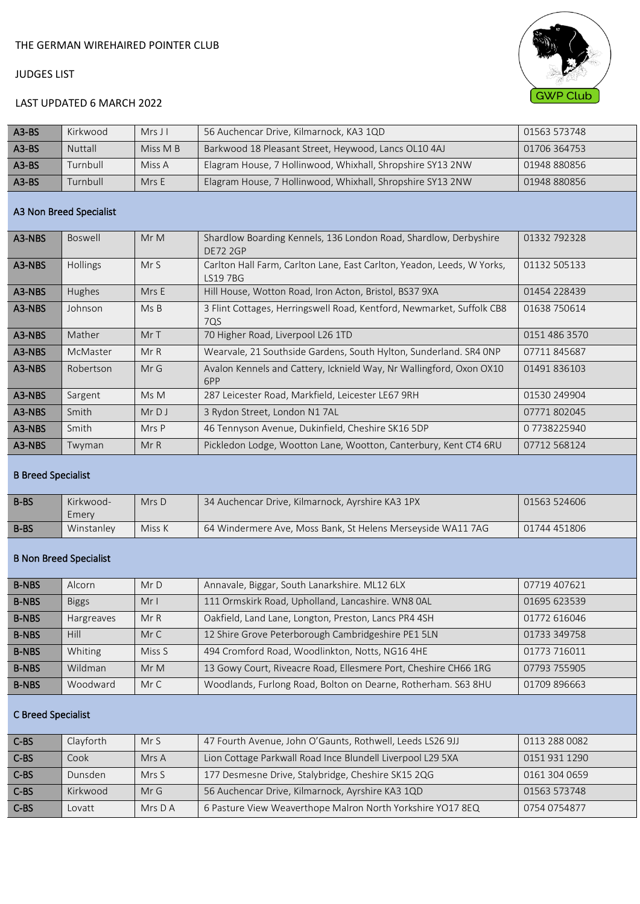

# LAST UPDATED 6 MARCH 2022

| $A3-BS$ | Kirkwood       | $Mrs$ J I | 56 Auchencar Drive, Kilmarnock, KA3 1QD                    | 01563 573748 |
|---------|----------------|-----------|------------------------------------------------------------|--------------|
| $A3-BS$ | <b>Nuttall</b> | Miss M B  | Barkwood 18 Pleasant Street, Heywood, Lancs OL10 4AJ       | 01706 364753 |
| $A3-BS$ | Turnbull       | Miss A    | Elagram House, 7 Hollinwood, Whixhall, Shropshire SY13 2NW | 01948 880856 |
| $A3-BS$ | Turnbull       | MrsE      | Elagram House, 7 Hollinwood, Whixhall, Shropshire SY13 2NW | 01948 880856 |

#### A3 Non Breed Specialist

| Boswell         | MrM   | Shardlow Boarding Kennels, 136 London Road, Shardlow, Derbyshire<br><b>DE72 2GP</b> | 01332 792328  |
|-----------------|-------|-------------------------------------------------------------------------------------|---------------|
| <b>Hollings</b> | MrS   | Carlton Hall Farm, Carlton Lane, East Carlton, Yeadon, Leeds, W Yorks,<br>LS19 7BG  | 01132 505133  |
| Hughes          | Mrs E | Hill House, Wotton Road, Iron Acton, Bristol, BS37 9XA                              | 01454 228439  |
| Johnson         | MsB   | 3 Flint Cottages, Herringswell Road, Kentford, Newmarket, Suffolk CB8<br>7QS        | 01638 750614  |
| Mather          | MrT   | 70 Higher Road, Liverpool L26 1TD                                                   | 0151 486 3570 |
| McMaster        | MrR   | Wearvale, 21 Southside Gardens, South Hylton, Sunderland. SR4 ONP                   | 07711845687   |
| Robertson       | MrG   | Avalon Kennels and Cattery, Icknield Way, Nr Wallingford, Oxon OX10<br>6PP          | 01491 836103  |
| Sargent         | Ms M  | 287 Leicester Road, Markfield, Leicester LE67 9RH                                   | 01530 249904  |
| Smith           | MrDJ  | 3 Rydon Street, London N1 7AL                                                       | 07771802045   |
| Smith           | Mrs P | 46 Tennyson Avenue, Dukinfield, Cheshire SK16 5DP                                   | 07738225940   |
| Twyman          | MrR   | Pickledon Lodge, Wootton Lane, Wootton, Canterbury, Kent CT4 6RU                    | 07712 568124  |
|                 |       |                                                                                     |               |

### B Breed Specialist

| <b>B-BS</b> | Kirkwood-<br>Emery | $Mrs$ D | 34 Auchencar Drive, Kilmarnock, Ayrshire KA3 1PX            | 01563 524606 |
|-------------|--------------------|---------|-------------------------------------------------------------|--------------|
| B-BS        | Winstanley         | Miss K  | 64 Windermere Ave, Moss Bank, St Helens Merseyside WA11 7AG | 01744 451806 |

### B Non Breed Specialist

| <b>B-NBS</b> | Alcorn            | MrD    | Annavale, Biggar, South Lanarkshire. ML12 6LX                   | 07719 407621 |
|--------------|-------------------|--------|-----------------------------------------------------------------|--------------|
| <b>B-NBS</b> | <b>Biggs</b>      | MrI    | 111 Ormskirk Road, Upholland, Lancashire. WN8 0AL               | 01695 623539 |
| <b>B-NBS</b> | <b>Hargreaves</b> | MrR    | Oakfield, Land Lane, Longton, Preston, Lancs PR4 4SH            | 01772 616046 |
| <b>B-NBS</b> | Hill              | MrC    | 12 Shire Grove Peterborough Cambridgeshire PE1 5LN              | 01733 349758 |
| <b>B-NBS</b> | Whiting           | Miss S | 494 Cromford Road, Woodlinkton, Notts, NG16 4HE                 | 01773 716011 |
| <b>B-NBS</b> | Wildman           | MrM    | 13 Gowy Court, Riveacre Road, Ellesmere Port, Cheshire CH66 1RG | 07793 755905 |
| <b>B-NBS</b> | Woodward          | Mr C   | Woodlands, Furlong Road, Bolton on Dearne, Rotherham. S63 8HU   | 01709 896663 |

#### C Breed Specialist

| C-BS   | Clayforth | MrS       | 47 Fourth Avenue, John O'Gaunts, Rothwell, Leeds LS26 9JJ  | 0113 288 0082 |
|--------|-----------|-----------|------------------------------------------------------------|---------------|
| C-BS   | Cook      | Mrs A     | Lion Cottage Parkwall Road Ince Blundell Liverpool L29 5XA | 0151 931 1290 |
| $C-BS$ | Dunsden   | Mrs S     | 177 Desmesne Drive, Stalybridge, Cheshire SK15 2QG         | 0161 304 0659 |
| $C-BS$ | Kirkwood  | MrG       | 56 Auchencar Drive, Kilmarnock, Ayrshire KA3 1QD           | 01563 573748  |
| $C-BS$ | Lovatt    | Mrs $D$ A | 6 Pasture View Weaverthope Malron North Yorkshire YO17 8EQ | 0754 0754877  |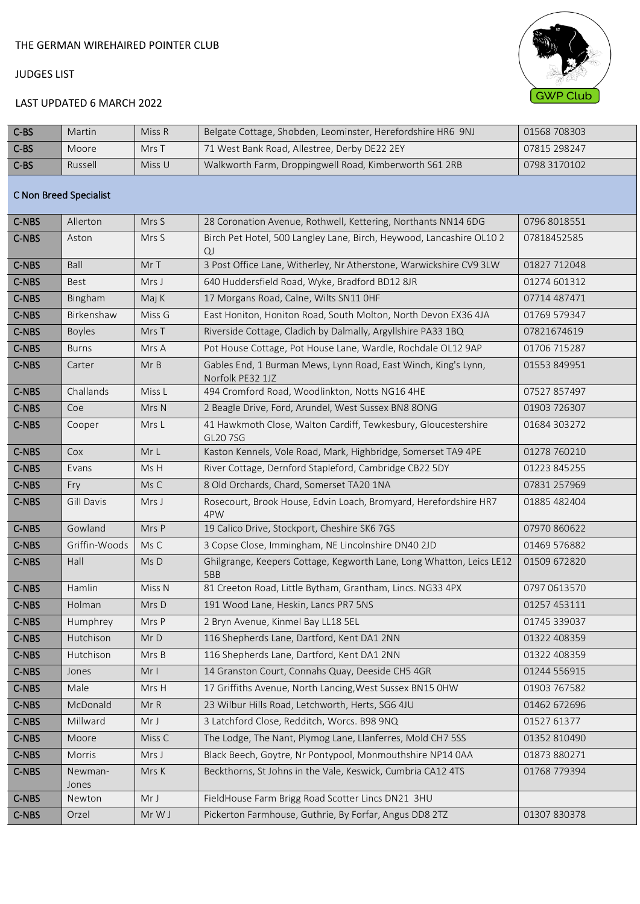

# LAST UPDATED 6 MARCH 2022

| C-BS                   | Martin           | Miss R            | Belgate Cottage, Shobden, Leominster, Herefordshire HR6 9NJ                        | 01568 708303 |  |  |  |
|------------------------|------------------|-------------------|------------------------------------------------------------------------------------|--------------|--|--|--|
| C-BS                   | Moore            | Mrs T             | 71 West Bank Road, Allestree, Derby DE22 2EY                                       | 07815 298247 |  |  |  |
| $C-BS$                 | Russell          | Miss U            | Walkworth Farm, Droppingwell Road, Kimberworth S61 2RB                             | 0798 3170102 |  |  |  |
| C Non Breed Specialist |                  |                   |                                                                                    |              |  |  |  |
| C-NBS                  | Allerton         | Mrs S             | 28 Coronation Avenue, Rothwell, Kettering, Northants NN14 6DG                      | 0796 8018551 |  |  |  |
| <b>C-NBS</b>           | Aston            | Mrs S             | Birch Pet Hotel, 500 Langley Lane, Birch, Heywood, Lancashire OL10 2<br>QJ         | 07818452585  |  |  |  |
| C-NBS                  | Ball             | Mr T              | 3 Post Office Lane, Witherley, Nr Atherstone, Warwickshire CV9 3LW                 | 01827 712048 |  |  |  |
| C-NBS                  | Best             | Mrs J             | 640 Huddersfield Road, Wyke, Bradford BD12 8JR                                     | 01274 601312 |  |  |  |
| C-NBS                  | Bingham          | Maj K             | 17 Morgans Road, Calne, Wilts SN11 OHF                                             | 07714 487471 |  |  |  |
| C-NBS                  | Birkenshaw       | Miss G            | East Honiton, Honiton Road, South Molton, North Devon EX36 4JA                     | 01769 579347 |  |  |  |
| C-NBS                  | <b>Boyles</b>    | Mrs T             | Riverside Cottage, Cladich by Dalmally, Argyllshire PA33 1BQ                       | 07821674619  |  |  |  |
| C-NBS                  | <b>Burns</b>     | Mrs A             | Pot House Cottage, Pot House Lane, Wardle, Rochdale OL12 9AP                       | 01706 715287 |  |  |  |
| C-NBS                  | Carter           | MrB               | Gables End, 1 Burman Mews, Lynn Road, East Winch, King's Lynn,<br>Norfolk PE32 1JZ | 01553 849951 |  |  |  |
| C-NBS                  | Challands        | Miss L            | 494 Cromford Road, Woodlinkton, Notts NG16 4HE                                     | 07527 857497 |  |  |  |
| C-NBS                  | Coe              | Mrs N             | 2 Beagle Drive, Ford, Arundel, West Sussex BN8 8ONG                                | 01903 726307 |  |  |  |
| C-NBS                  | Cooper           | Mrs L             | 41 Hawkmoth Close, Walton Cardiff, Tewkesbury, Gloucestershire<br>GL20 7SG         | 01684 303272 |  |  |  |
| C-NBS                  | Cox              | Mr L              | Kaston Kennels, Vole Road, Mark, Highbridge, Somerset TA9 4PE                      | 01278 760210 |  |  |  |
| C-NBS                  | Evans            | Ms H              | River Cottage, Dernford Stapleford, Cambridge CB22 5DY                             | 01223 845255 |  |  |  |
| C-NBS                  | Fry              | Ms C              | 8 Old Orchards, Chard, Somerset TA20 1NA                                           | 07831 257969 |  |  |  |
| C-NBS                  | Gill Davis       | Mrs J             | Rosecourt, Brook House, Edvin Loach, Bromyard, Herefordshire HR7<br>4PW            | 01885 482404 |  |  |  |
| C-NBS                  | Gowland          | Mrs P             | 19 Calico Drive, Stockport, Cheshire SK6 7GS                                       | 07970 860622 |  |  |  |
| C-NBS                  | Griffin-Woods    | Ms C              | 3 Copse Close, Immingham, NE Lincolnshire DN40 2JD                                 | 01469 576882 |  |  |  |
| C-NBS                  | Hall             | Ms D              | Ghilgrange, Keepers Cottage, Kegworth Lane, Long Whatton, Leics LE12<br>5BB        | 01509 672820 |  |  |  |
| C-NBS                  | Hamlin           | Miss <sub>N</sub> | 81 Creeton Road, Little Bytham, Grantham, Lincs. NG33 4PX                          | 0797 0613570 |  |  |  |
| C-NBS                  | Holman           | Mrs D             | 191 Wood Lane, Heskin, Lancs PR7 5NS                                               | 01257 453111 |  |  |  |
| C-NBS                  | Humphrey         | Mrs P             | 2 Bryn Avenue, Kinmel Bay LL18 5EL                                                 | 01745 339037 |  |  |  |
| C-NBS                  | Hutchison        | MrD               | 116 Shepherds Lane, Dartford, Kent DA1 2NN                                         | 01322 408359 |  |  |  |
| C-NBS                  | Hutchison        | Mrs B             | 116 Shepherds Lane, Dartford, Kent DA1 2NN                                         | 01322 408359 |  |  |  |
| C-NBS                  | Jones            | Mr I              | 14 Granston Court, Connahs Quay, Deeside CH5 4GR                                   | 01244 556915 |  |  |  |
| C-NBS                  | Male             | Mrs H             | 17 Griffiths Avenue, North Lancing, West Sussex BN15 OHW                           | 01903 767582 |  |  |  |
| C-NBS                  | McDonald         | Mr R              | 23 Wilbur Hills Road, Letchworth, Herts, SG6 4JU                                   | 01462 672696 |  |  |  |
| C-NBS                  | Millward         | Mr J              | 3 Latchford Close, Redditch, Worcs. B98 9NQ                                        | 01527 61377  |  |  |  |
| C-NBS                  | Moore            | Miss C            | The Lodge, The Nant, Plymog Lane, Llanferres, Mold CH7 5SS                         | 01352 810490 |  |  |  |
| C-NBS                  | Morris           | Mrs J             | Black Beech, Goytre, Nr Pontypool, Monmouthshire NP14 0AA                          | 01873 880271 |  |  |  |
| C-NBS                  | Newman-<br>Jones | Mrs K             | Beckthorns, St Johns in the Vale, Keswick, Cumbria CA12 4TS                        | 01768 779394 |  |  |  |
| C-NBS                  | Newton           | Mr J              | FieldHouse Farm Brigg Road Scotter Lincs DN21 3HU                                  |              |  |  |  |
| C-NBS                  | Orzel            | Mr W J            | Pickerton Farmhouse, Guthrie, By Forfar, Angus DD8 2TZ                             | 01307 830378 |  |  |  |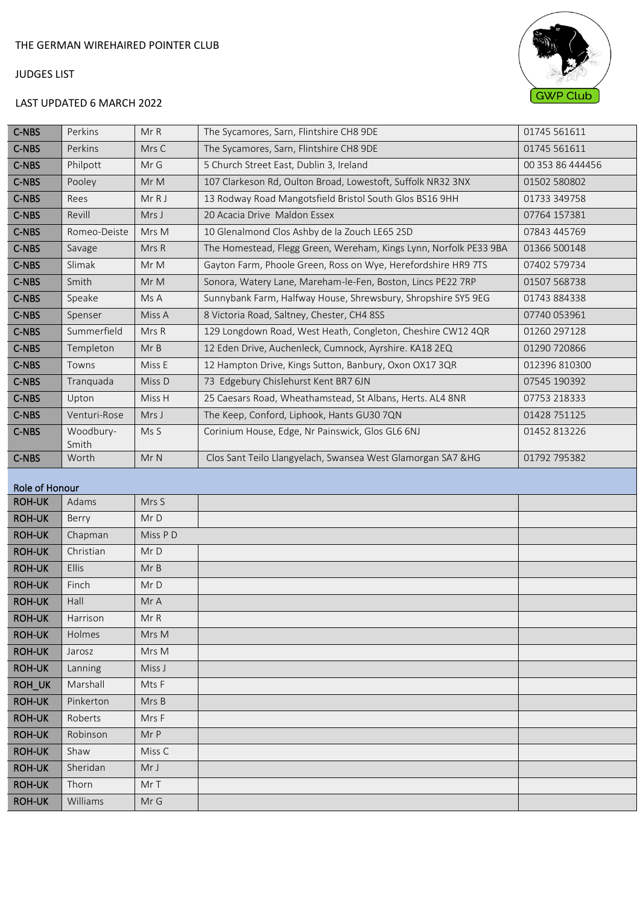# LAST UPDATED 6 MARCH 2022



| <b>C-NBS</b> | Perkins            | MrR    | The Sycamores, Sarn, Flintshire CH8 9DE                           | 01745 561611     |
|--------------|--------------------|--------|-------------------------------------------------------------------|------------------|
| C-NBS        | Perkins            | Mrs C  | The Sycamores, Sarn, Flintshire CH8 9DE                           | 01745 561611     |
| C-NBS        | Philpott           | Mr G   | 5 Church Street East, Dublin 3, Ireland                           | 00 353 86 444456 |
| C-NBS        | Pooley             | MrM    | 107 Clarkeson Rd, Oulton Broad, Lowestoft, Suffolk NR32 3NX       | 01502 580802     |
| C-NBS        | Rees               | MrRJ   | 13 Rodway Road Mangotsfield Bristol South Glos BS16 9HH           | 01733 349758     |
| C-NBS        | Revill             | Mrs J  | 20 Acacia Drive Maldon Essex                                      | 07764 157381     |
| C-NBS        | Romeo-Deiste       | Mrs M  | 10 Glenalmond Clos Ashby de la Zouch LE65 2SD                     | 07843 445769     |
| C-NBS        | Savage             | Mrs R  | The Homestead, Flegg Green, Wereham, Kings Lynn, Norfolk PE33 9BA | 01366 500148     |
| C-NBS        | Slimak             | Mr M   | Gayton Farm, Phoole Green, Ross on Wye, Herefordshire HR9 7TS     | 07402 579734     |
| C-NBS        | Smith              | Mr M   | Sonora, Watery Lane, Mareham-le-Fen, Boston, Lincs PE22 7RP       | 01507 568738     |
| C-NBS        | Speake             | Ms A   | Sunnybank Farm, Halfway House, Shrewsbury, Shropshire SY5 9EG     | 01743 884338     |
| C-NBS        | Spenser            | Miss A | 8 Victoria Road, Saltney, Chester, CH4 8SS                        | 07740 053961     |
| C-NBS        | Summerfield        | Mrs R  | 129 Longdown Road, West Heath, Congleton, Cheshire CW12 4QR       | 01260 297128     |
| C-NBS        | Templeton          | MrB    | 12 Eden Drive, Auchenleck, Cumnock, Ayrshire. KA18 2EQ            | 01290 720866     |
| C-NBS        | Towns              | Miss E | 12 Hampton Drive, Kings Sutton, Banbury, Oxon OX17 3QR            | 012396 810300    |
| C-NBS        | Tranguada          | Miss D | 73 Edgebury Chislehurst Kent BR7 6JN                              | 07545 190392     |
| C-NBS        | Upton              | Miss H | 25 Caesars Road, Wheathamstead, St Albans, Herts. AL4 8NR         | 07753 218333     |
| C-NBS        | Venturi-Rose       | Mrs J  | The Keep, Conford, Liphook, Hants GU30 7QN                        | 01428 751125     |
| C-NBS        | Woodbury-<br>Smith | Ms S   | Corinium House, Edge, Nr Painswick, Glos GL6 6NJ                  | 01452 813226     |
| <b>C-NBS</b> | Worth              | MrN    | Clos Sant Teilo Llangyelach, Swansea West Glamorgan SA7 & HG      | 01792 795382     |
|              |                    |        |                                                                   |                  |

#### Role of Honour

| Role of Honour |              |         |  |  |  |  |  |
|----------------|--------------|---------|--|--|--|--|--|
| <b>ROH-UK</b>  | Adams        | Mrs S   |  |  |  |  |  |
| <b>ROH-UK</b>  | Berry        | MrD     |  |  |  |  |  |
| <b>ROH-UK</b>  | Chapman      | Miss PD |  |  |  |  |  |
| <b>ROH-UK</b>  | Christian    | MrD     |  |  |  |  |  |
| <b>ROH-UK</b>  | <b>Ellis</b> | MrB     |  |  |  |  |  |
| <b>ROH-UK</b>  | Finch        | MrD     |  |  |  |  |  |
| <b>ROH-UK</b>  | Hall         | Mr A    |  |  |  |  |  |
| <b>ROH-UK</b>  | Harrison     | Mr R    |  |  |  |  |  |
| <b>ROH-UK</b>  | Holmes       | Mrs M   |  |  |  |  |  |
| <b>ROH-UK</b>  | Jarosz       | Mrs M   |  |  |  |  |  |
| <b>ROH-UK</b>  | Lanning      | Miss J  |  |  |  |  |  |
| ROH_UK         | Marshall     | Mts F   |  |  |  |  |  |
| <b>ROH-UK</b>  | Pinkerton    | Mrs B   |  |  |  |  |  |
| <b>ROH-UK</b>  | Roberts      | Mrs F   |  |  |  |  |  |
| <b>ROH-UK</b>  | Robinson     | Mr P    |  |  |  |  |  |
| <b>ROH-UK</b>  | Shaw         | Miss C  |  |  |  |  |  |
| <b>ROH-UK</b>  | Sheridan     | Mr J    |  |  |  |  |  |
| <b>ROH-UK</b>  | Thorn        | Mr T    |  |  |  |  |  |
| <b>ROH-UK</b>  | Williams     | Mr G    |  |  |  |  |  |